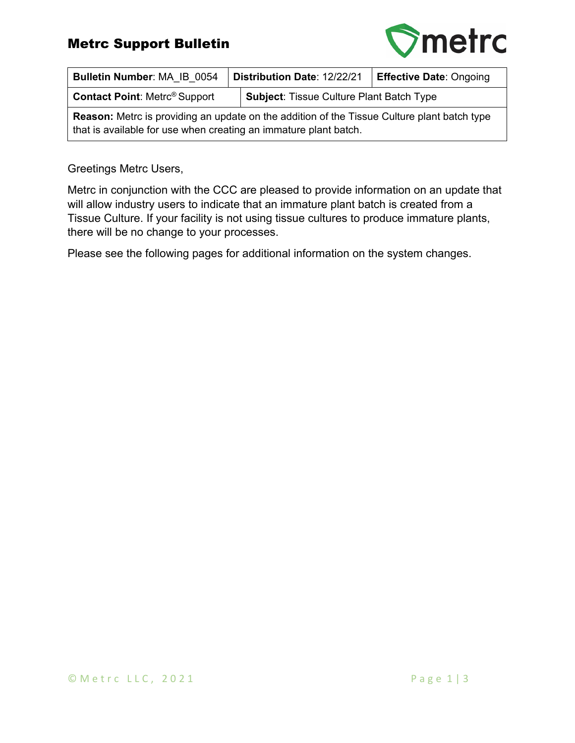## Metrc Support Bulletin



| Bulletin Number: MA IB 0054                                                                                                                                            | Distribution Date: 12/22/21                     | <b>Effective Date: Ongoing</b> |  |  |  |  |
|------------------------------------------------------------------------------------------------------------------------------------------------------------------------|-------------------------------------------------|--------------------------------|--|--|--|--|
| <b>Contact Point: Metrc® Support</b>                                                                                                                                   | <b>Subject: Tissue Culture Plant Batch Type</b> |                                |  |  |  |  |
| <b>Reason:</b> Metro is providing an update on the addition of the Tissue Culture plant batch type<br>that is available for use when creating an immature plant batch. |                                                 |                                |  |  |  |  |

## Greetings Metrc Users,

Metrc in conjunction with the CCC are pleased to provide information on an update that will allow industry users to indicate that an immature plant batch is created from a Tissue Culture. If your facility is not using tissue cultures to produce immature plants, there will be no change to your processes.

Please see the following pages for additional information on the system changes.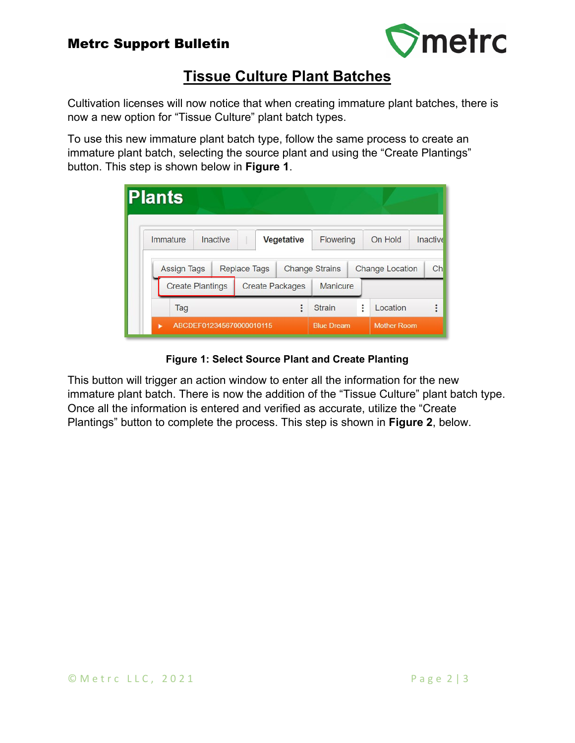

## **Tissue Culture Plant Batches**

Cultivation licenses will now notice that when creating immature plant batches, there is now a new option for "Tissue Culture" plant batch types.

To use this new immature plant batch type, follow the same process to create an immature plant batch, selecting the source plant and using the "Create Plantings" button. This step is shown below in **Figure 1**.

| <b>Plants</b>                 |                         |                        |                   |                       |                    |                        |          |
|-------------------------------|-------------------------|------------------------|-------------------|-----------------------|--------------------|------------------------|----------|
| Immature                      | Inactive                |                        | Vegetative        | Flowering             |                    | On Hold                | Inactive |
| <b>Assign Tags</b>            |                         | <b>Replace Tags</b>    |                   | <b>Change Strains</b> |                    | <b>Change Location</b> | Ch       |
|                               | <b>Create Plantings</b> | <b>Create Packages</b> |                   | Manicure              |                    |                        |          |
| Tag                           |                         |                        |                   | <b>Strain</b>         | ٠                  | Location               | ٠        |
| ABCDEF012345670000010115<br>ь |                         |                        | <b>Blue Dream</b> |                       | <b>Mother Room</b> |                        |          |

**Figure 1: Select Source Plant and Create Planting**

This button will trigger an action window to enter all the information for the new immature plant batch. There is now the addition of the "Tissue Culture" plant batch type. Once all the information is entered and verified as accurate, utilize the "Create Plantings" button to complete the process. This step is shown in **Figure 2**, below.